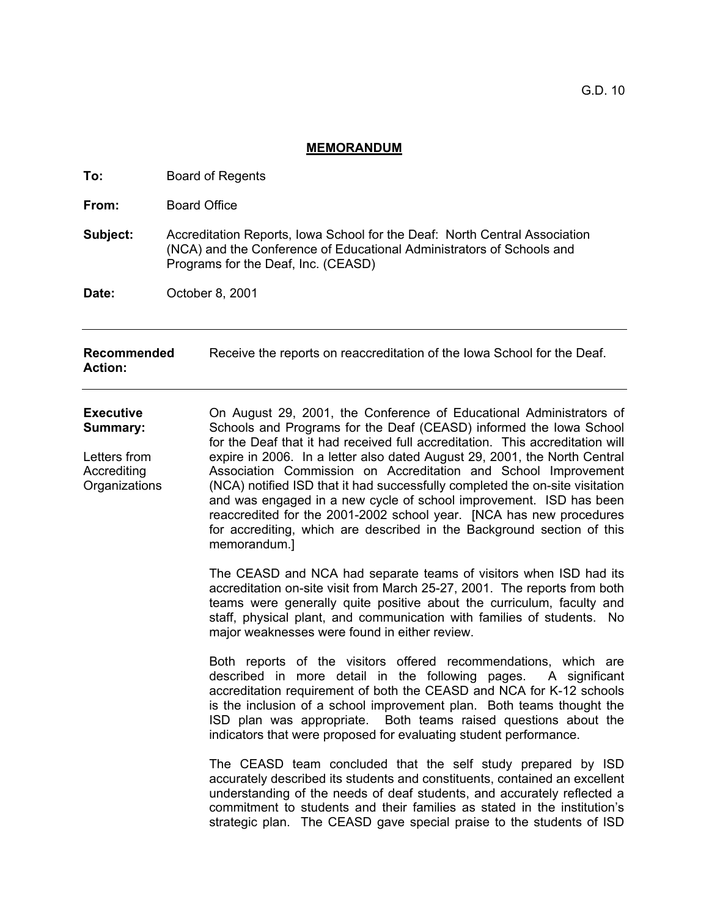## **MEMORANDUM**

| To:                                                                                 | <b>Board of Regents</b>                                                                                                                                                                                                                                                                                                                                                                                                                                                                                                                                                                                                                                                                                                                                                                                                                                                                                                                                                                               |
|-------------------------------------------------------------------------------------|-------------------------------------------------------------------------------------------------------------------------------------------------------------------------------------------------------------------------------------------------------------------------------------------------------------------------------------------------------------------------------------------------------------------------------------------------------------------------------------------------------------------------------------------------------------------------------------------------------------------------------------------------------------------------------------------------------------------------------------------------------------------------------------------------------------------------------------------------------------------------------------------------------------------------------------------------------------------------------------------------------|
| From:                                                                               | <b>Board Office</b>                                                                                                                                                                                                                                                                                                                                                                                                                                                                                                                                                                                                                                                                                                                                                                                                                                                                                                                                                                                   |
| Subject:                                                                            | Accreditation Reports, Iowa School for the Deaf: North Central Association<br>(NCA) and the Conference of Educational Administrators of Schools and<br>Programs for the Deaf, Inc. (CEASD)                                                                                                                                                                                                                                                                                                                                                                                                                                                                                                                                                                                                                                                                                                                                                                                                            |
| Date:                                                                               | October 8, 2001                                                                                                                                                                                                                                                                                                                                                                                                                                                                                                                                                                                                                                                                                                                                                                                                                                                                                                                                                                                       |
| Recommended<br><b>Action:</b>                                                       | Receive the reports on reaccreditation of the Iowa School for the Deaf.                                                                                                                                                                                                                                                                                                                                                                                                                                                                                                                                                                                                                                                                                                                                                                                                                                                                                                                               |
| <b>Executive</b><br><b>Summary:</b><br>Letters from<br>Accrediting<br>Organizations | On August 29, 2001, the Conference of Educational Administrators of<br>Schools and Programs for the Deaf (CEASD) informed the lowa School<br>for the Deaf that it had received full accreditation. This accreditation will<br>expire in 2006. In a letter also dated August 29, 2001, the North Central<br>Association Commission on Accreditation and School Improvement<br>(NCA) notified ISD that it had successfully completed the on-site visitation<br>and was engaged in a new cycle of school improvement. ISD has been<br>reaccredited for the 2001-2002 school year. [NCA has new procedures<br>for accrediting, which are described in the Background section of this<br>memorandum.]<br>The CEASD and NCA had separate teams of visitors when ISD had its<br>accreditation on-site visit from March 25-27, 2001. The reports from both<br>teams were generally quite positive about the curriculum, faculty and<br>staff, physical plant, and communication with families of students. No |
|                                                                                     | major weaknesses were found in either review.<br>Both reports of the visitors offered recommendations, which are<br>described in more detail in the following pages. A significant<br>accreditation requirement of both the CEASD and NCA for K-12 schools<br>is the inclusion of a school improvement plan. Both teams thought the<br>ISD plan was appropriate. Both teams raised questions about the<br>indicators that were proposed for evaluating student performance.<br>The CEASD team concluded that the self study prepared by ISD<br>accurately described its students and constituents, contained an excellent<br>understanding of the needs of deaf students, and accurately reflected a<br>commitment to students and their families as stated in the institution's<br>strategic plan. The CEASD gave special praise to the students of ISD                                                                                                                                              |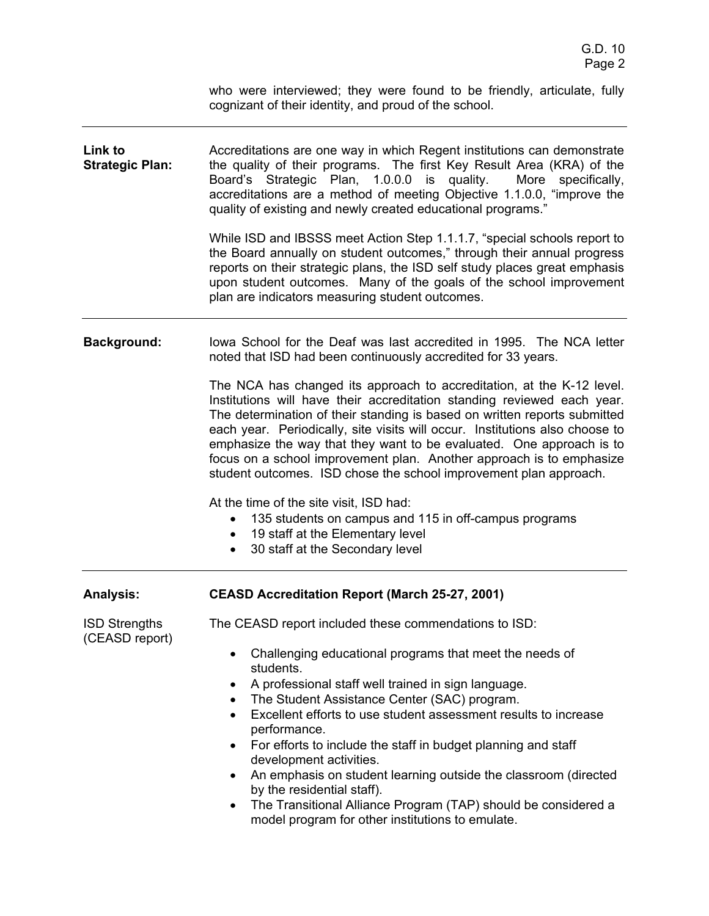who were interviewed; they were found to be friendly, articulate, fully cognizant of their identity, and proud of the school.

| Link to<br><b>Strategic Plan:</b>      | Accreditations are one way in which Regent institutions can demonstrate<br>the quality of their programs. The first Key Result Area (KRA) of the<br>Board's Strategic Plan, 1.0.0.0 is quality.<br>More specifically,<br>accreditations are a method of meeting Objective 1.1.0.0, "improve the<br>quality of existing and newly created educational programs."<br>While ISD and IBSSS meet Action Step 1.1.1.7, "special schools report to<br>the Board annually on student outcomes," through their annual progress<br>reports on their strategic plans, the ISD self study places great emphasis<br>upon student outcomes. Many of the goals of the school improvement<br>plan are indicators measuring student outcomes. |  |
|----------------------------------------|------------------------------------------------------------------------------------------------------------------------------------------------------------------------------------------------------------------------------------------------------------------------------------------------------------------------------------------------------------------------------------------------------------------------------------------------------------------------------------------------------------------------------------------------------------------------------------------------------------------------------------------------------------------------------------------------------------------------------|--|
|                                        |                                                                                                                                                                                                                                                                                                                                                                                                                                                                                                                                                                                                                                                                                                                              |  |
|                                        | The NCA has changed its approach to accreditation, at the K-12 level.<br>Institutions will have their accreditation standing reviewed each year.<br>The determination of their standing is based on written reports submitted<br>each year. Periodically, site visits will occur. Institutions also choose to<br>emphasize the way that they want to be evaluated. One approach is to<br>focus on a school improvement plan. Another approach is to emphasize<br>student outcomes. ISD chose the school improvement plan approach.                                                                                                                                                                                           |  |
|                                        | At the time of the site visit, ISD had:                                                                                                                                                                                                                                                                                                                                                                                                                                                                                                                                                                                                                                                                                      |  |
|                                        | 135 students on campus and 115 in off-campus programs<br>٠                                                                                                                                                                                                                                                                                                                                                                                                                                                                                                                                                                                                                                                                   |  |
|                                        | 19 staff at the Elementary level<br>٠                                                                                                                                                                                                                                                                                                                                                                                                                                                                                                                                                                                                                                                                                        |  |
|                                        | 30 staff at the Secondary level<br>$\bullet$                                                                                                                                                                                                                                                                                                                                                                                                                                                                                                                                                                                                                                                                                 |  |
| <b>Analysis:</b>                       | <b>CEASD Accreditation Report (March 25-27, 2001)</b>                                                                                                                                                                                                                                                                                                                                                                                                                                                                                                                                                                                                                                                                        |  |
| <b>ISD Strengths</b><br>(CEASD report) | The CEASD report included these commendations to ISD:                                                                                                                                                                                                                                                                                                                                                                                                                                                                                                                                                                                                                                                                        |  |
|                                        | Challenging educational programs that meet the needs of<br>students.                                                                                                                                                                                                                                                                                                                                                                                                                                                                                                                                                                                                                                                         |  |
|                                        | A professional staff well trained in sign language.                                                                                                                                                                                                                                                                                                                                                                                                                                                                                                                                                                                                                                                                          |  |
|                                        | The Student Assistance Center (SAC) program.                                                                                                                                                                                                                                                                                                                                                                                                                                                                                                                                                                                                                                                                                 |  |
|                                        | Excellent efforts to use student assessment results to increase<br>performance.                                                                                                                                                                                                                                                                                                                                                                                                                                                                                                                                                                                                                                              |  |
|                                        | For efforts to include the staff in budget planning and staff<br>٠                                                                                                                                                                                                                                                                                                                                                                                                                                                                                                                                                                                                                                                           |  |
|                                        | development activities.                                                                                                                                                                                                                                                                                                                                                                                                                                                                                                                                                                                                                                                                                                      |  |
|                                        | An emphasis on student learning outside the classroom (directed<br>$\bullet$<br>by the residential staff).                                                                                                                                                                                                                                                                                                                                                                                                                                                                                                                                                                                                                   |  |
|                                        | The Transitional Alliance Program (TAP) should be considered a<br>$\bullet$                                                                                                                                                                                                                                                                                                                                                                                                                                                                                                                                                                                                                                                  |  |
|                                        | model program for other institutions to emulate.                                                                                                                                                                                                                                                                                                                                                                                                                                                                                                                                                                                                                                                                             |  |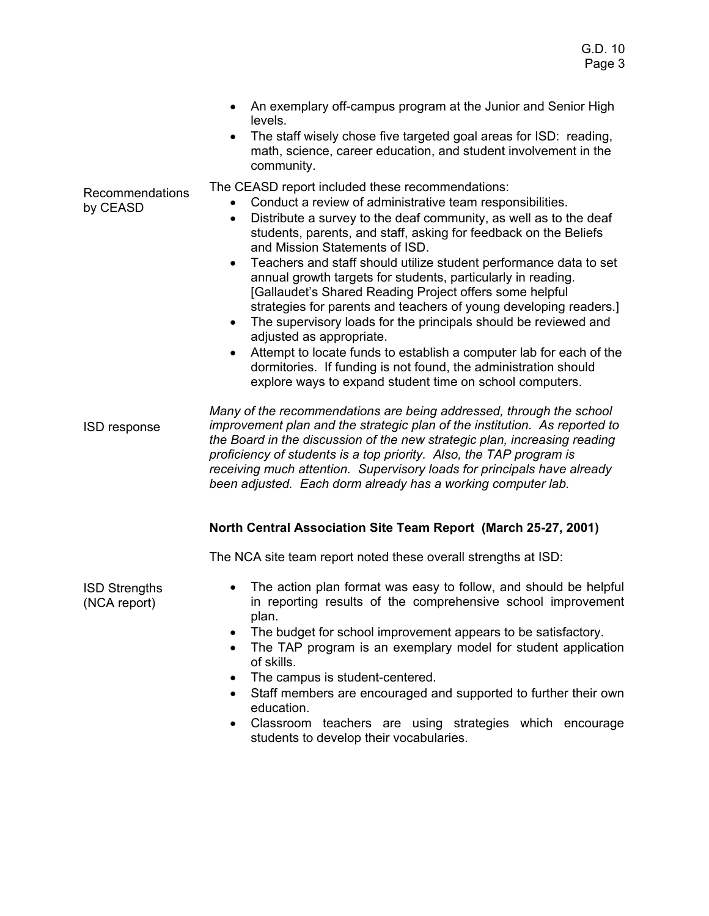- An exemplary off-campus program at the Junior and Senior High levels.
- The staff wisely chose five targeted goal areas for ISD: reading, math, science, career education, and student involvement in the community.

The CEASD report included these recommendations:

- Conduct a review of administrative team responsibilities.
- Distribute a survey to the deaf community, as well as to the deaf students, parents, and staff, asking for feedback on the Beliefs and Mission Statements of ISD.
- Teachers and staff should utilize student performance data to set annual growth targets for students, particularly in reading. [Gallaudet's Shared Reading Project offers some helpful strategies for parents and teachers of young developing readers.]
- The supervisory loads for the principals should be reviewed and adjusted as appropriate.
- Attempt to locate funds to establish a computer lab for each of the dormitories. If funding is not found, the administration should explore ways to expand student time on school computers.

ISD response *Many of the recommendations are being addressed, through the school improvement plan and the strategic plan of the institution. As reported to the Board in the discussion of the new strategic plan, increasing reading proficiency of students is a top priority. Also, the TAP program is receiving much attention. Supervisory loads for principals have already been adjusted. Each dorm already has a working computer lab.* 

## **North Central Association Site Team Report (March 25-27, 2001)**

The NCA site team report noted these overall strengths at ISD:

- ISD Strengths (NCA report) • The action plan format was easy to follow, and should be helpful in reporting results of the comprehensive school improvement plan. • The budget for school improvement appears to be satisfactory.
	- The TAP program is an exemplary model for student application of skills.
	- The campus is student-centered.
	- Staff members are encouraged and supported to further their own education.
	- Classroom teachers are using strategies which encourage students to develop their vocabularies.

Recommendations by CEASD